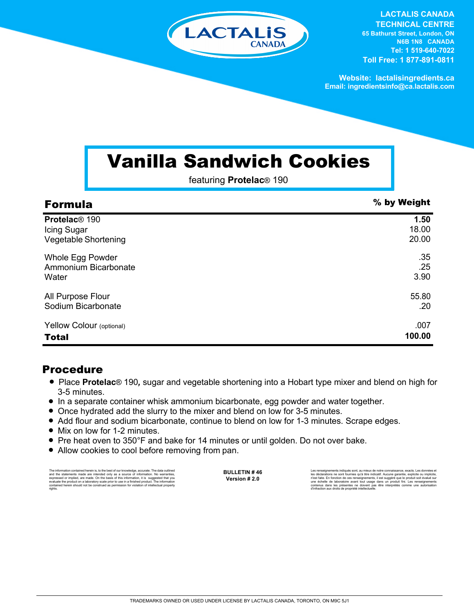

**LACTALIS CANADA TECHNICAL CENTRE 65 Bathurst Street, London, ON N6B 1N8 CANADA Tel: 1 519-640-7022 Toll Free: 1 877-891-0811**

**Website: lactalisingredients.ca Email: ingredientsinfo@ca.lactalis.com**

## Vanilla Sandwich Cookies

featuring **Protelac**® 190

| <b>Formula</b>            | % by Weight |
|---------------------------|-------------|
| Protelac <sup>®</sup> 190 | 1.50        |
| Icing Sugar               | 18.00       |
| Vegetable Shortening      | 20.00       |
| Whole Egg Powder          | .35         |
| Ammonium Bicarbonate      | .25         |
| Water                     | 3.90        |
| All Purpose Flour         | 55.80       |
| Sodium Bicarbonate        | .20         |
| Yellow Colour (optional)  | .007        |
| <b>Total</b>              | 100.00      |

## Procedure

- Place **Protelac**<sup>®</sup> 190, sugar and vegetable shortening into a Hobart type mixer and blend on high for 3-5 minutes.
- In a separate container whisk ammonium bicarbonate, egg powder and water together.
- Once hydrated add the slurry to the mixer and blend on low for 3-5 minutes.
- Add flour and sodium bicarbonate, continue to blend on low for 1-3 minutes. Scrape edges.
- Mix on low for 1-2 minutes.
- = Pre heat oven to 350°F and bake for 14 minutes or until golden. Do not over bake.
- Allow cookies to cool before removing from pan.

The information contained herein is, to the best of our knowledge, accurate. The data cutlined the statements made are intended only as a source of information. No warranties, expressed or implied, are made. On the basis o

**BULLETIN # 46 Version # 2.0**

Les renseignements indiqués sont, au mieux de notre connaissance, exacts. Les données et<br>les déclarations ne sont fournies qu'à titre indicatif. Aucune garantie, explicite ou implicite,<br>n'est faite. En fonction de ces rens contenus dans les présentes ne doivent pas être interprétés comme une autorisation d'infraction aux droits de propriété intellectuelle.